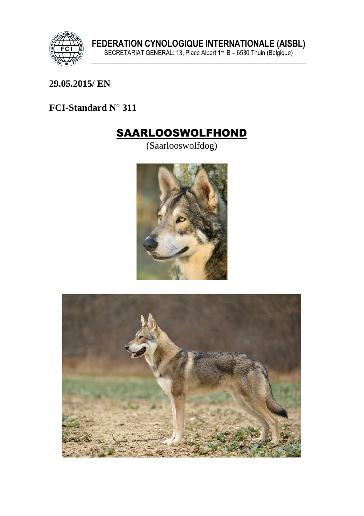

## 29.05.2015/EN

## FCI-Standard N° 311

## **SAARLOOSWOLFHOND**

(Saarlooswolfdog)



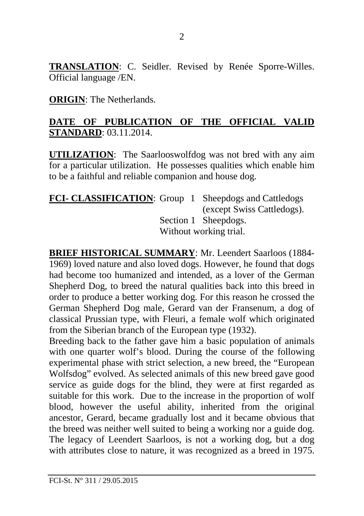**TRANSLATION**: C. Seidler. Revised by Renée Sporre-Willes. Official language /EN.

**ORIGIN**: The Netherlands.

## **DATE OF PUBLICATION OF THE OFFICIAL VALID STANDARD**: 03.11.2014.

**UTILIZATION**: The Saarlooswolfdog was not bred with any aim for a particular utilization. He possesses qualities which enable him to be a faithful and reliable companion and house dog.

#### **FCI- CLASSIFICATION:** Group 1 Sheepdogs and Cattledogs (except Swiss Cattledogs). Section 1 Sheepdogs. Without working trial.

**BRIEF HISTORICAL SUMMARY**: Mr. Leendert Saarloos (1884- 1969) loved nature and also loved dogs. However, he found that dogs had become too humanized and intended, as a lover of the German Shepherd Dog, to breed the natural qualities back into this breed in order to produce a better working dog. For this reason he crossed the German Shepherd Dog male, Gerard van der Fransenum, a dog of classical Prussian type, with Fleuri, a female wolf which originated from the Siberian branch of the European type (1932).

Breeding back to the father gave him a basic population of animals with one quarter wolf's blood. During the course of the following experimental phase with strict selection, a new breed, the "European Wolfsdog" evolved. As selected animals of this new breed gave good service as guide dogs for the blind, they were at first regarded as suitable for this work. Due to the increase in the proportion of wolf blood, however the useful ability, inherited from the original ancestor, Gerard, became gradually lost and it became obvious that the breed was neither well suited to being a working nor a guide dog. The legacy of Leendert Saarloos, is not a working dog, but a dog with attributes close to nature, it was recognized as a breed in 1975.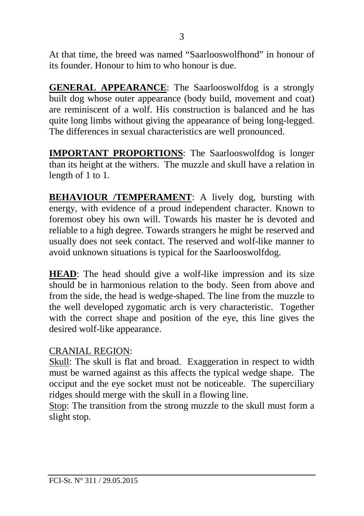At that time, the breed was named "Saarlooswolfhond" in honour of its founder. Honour to him to who honour is due.

**GENERAL APPEARANCE**: The Saarlooswolfdog is a strongly built dog whose outer appearance (body build, movement and coat) are reminiscent of a wolf. His construction is balanced and he has quite long limbs without giving the appearance of being long-legged. The differences in sexual characteristics are well pronounced.

**IMPORTANT PROPORTIONS**: The Saarlooswolfdog is longer than its height at the withers. The muzzle and skull have a relation in length of 1 to 1.

**BEHAVIOUR /TEMPERAMENT**: A lively dog, bursting with energy, with evidence of a proud independent character. Known to foremost obey his own will. Towards his master he is devoted and reliable to a high degree. Towards strangers he might be reserved and usually does not seek contact. The reserved and wolf-like manner to avoid unknown situations is typical for the Saarlooswolfdog.

**HEAD**: The head should give a wolf-like impression and its size should be in harmonious relation to the body. Seen from above and from the side, the head is wedge-shaped. The line from the muzzle to the well developed zygomatic arch is very characteristic. Together with the correct shape and position of the eye, this line gives the desired wolf-like appearance.

#### CRANIAL REGION:

Skull: The skull is flat and broad. Exaggeration in respect to width must be warned against as this affects the typical wedge shape. The occiput and the eye socket must not be noticeable. The superciliary ridges should merge with the skull in a flowing line.

Stop: The transition from the strong muzzle to the skull must form a slight stop.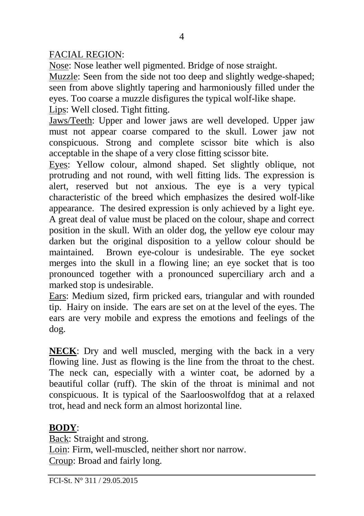#### FACIAL REGION:

Nose: Nose leather well pigmented. Bridge of nose straight.

Muzzle: Seen from the side not too deep and slightly wedge-shaped; seen from above slightly tapering and harmoniously filled under the eyes. Too coarse a muzzle disfigures the typical wolf-like shape.

Lips: Well closed. Tight fitting.

Jaws/Teeth: Upper and lower jaws are well developed. Upper jaw must not appear coarse compared to the skull. Lower jaw not conspicuous. Strong and complete scissor bite which is also acceptable in the shape of a very close fitting scissor bite.

Eyes: Yellow colour, almond shaped. Set slightly oblique, not protruding and not round, with well fitting lids. The expression is alert, reserved but not anxious. The eye is a very typical characteristic of the breed which emphasizes the desired wolf-like appearance. The desired expression is only achieved by a light eye. A great deal of value must be placed on the colour, shape and correct position in the skull. With an older dog, the yellow eye colour may darken but the original disposition to a yellow colour should be maintained. Brown eye-colour is undesirable. The eye socket merges into the skull in a flowing line; an eye socket that is too pronounced together with a pronounced superciliary arch and a marked stop is undesirable.

Ears: Medium sized, firm pricked ears, triangular and with rounded tip. Hairy on inside. The ears are set on at the level of the eyes. The ears are very mobile and express the emotions and feelings of the dog.

**NECK**: Dry and well muscled, merging with the back in a very flowing line. Just as flowing is the line from the throat to the chest. The neck can, especially with a winter coat, be adorned by a beautiful collar (ruff). The skin of the throat is minimal and not conspicuous. It is typical of the Saarlooswolfdog that at a relaxed trot, head and neck form an almost horizontal line.

## **BODY**:

Back: Straight and strong. Loin: Firm, well-muscled, neither short nor narrow. Croup: Broad and fairly long.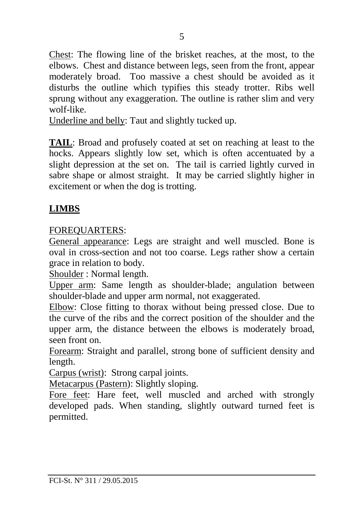Chest: The flowing line of the brisket reaches, at the most, to the elbows. Chest and distance between legs, seen from the front, appear moderately broad. Too massive a chest should be avoided as it disturbs the outline which typifies this steady trotter. Ribs well sprung without any exaggeration. The outline is rather slim and very wolf-like.

Underline and belly: Taut and slightly tucked up.

**TAIL**: Broad and profusely coated at set on reaching at least to the hocks. Appears slightly low set, which is often accentuated by a slight depression at the set on. The tail is carried lightly curved in sabre shape or almost straight. It may be carried slightly higher in excitement or when the dog is trotting.

## **LIMBS**

#### FOREQUARTERS:

General appearance: Legs are straight and well muscled. Bone is oval in cross-section and not too coarse. Legs rather show a certain grace in relation to body.

Shoulder : Normal length.

Upper arm: Same length as shoulder-blade; angulation between shoulder-blade and upper arm normal, not exaggerated.

Elbow: Close fitting to thorax without being pressed close. Due to the curve of the ribs and the correct position of the shoulder and the upper arm, the distance between the elbows is moderately broad, seen front on.

Forearm: Straight and parallel, strong bone of sufficient density and length.

Carpus (wrist): Strong carpal joints.

Metacarpus (Pastern): Slightly sloping.

Fore feet: Hare feet, well muscled and arched with strongly developed pads. When standing, slightly outward turned feet is permitted.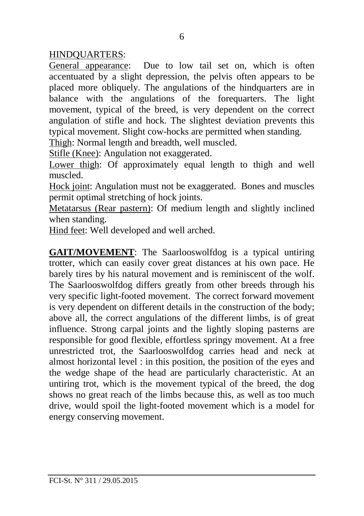HINDQUARTERS:

General appearance: Due to low tail set on, which is often accentuated by a slight depression, the pelvis often appears to be placed more obliquely. The angulations of the hindquarters are in balance with the angulations of the forequarters. The light movement, typical of the breed, is very dependent on the correct angulation of stifle and hock. The slightest deviation prevents this typical movement. Slight cow-hocks are permitted when standing.

Thigh: Normal length and breadth, well muscled.

Stifle (Knee): Angulation not exaggerated.

Lower thigh: Of approximately equal length to thigh and well muscled.

Hock joint: Angulation must not be exaggerated. Bones and muscles permit optimal stretching of hock joints.

Metatarsus (Rear pastern): Of medium length and slightly inclined when standing.

Hind feet: Well developed and well arched.

**GAIT/MOVEMENT**: The Saarlooswolfdog is a typical untiring trotter, which can easily cover great distances at his own pace. He barely tires by his natural movement and is reminiscent of the wolf. The Saarlooswolfdog differs greatly from other breeds through his very specific light-footed movement. The correct forward movement is very dependent on different details in the construction of the body; above all, the correct angulations of the different limbs, is of great influence. Strong carpal joints and the lightly sloping pasterns are responsible for good flexible, effortless springy movement. At a free unrestricted trot, the Saarlooswolfdog carries head and neck at almost horizontal level : in this position, the position of the eyes and the wedge shape of the head are particularly characteristic. At an untiring trot, which is the movement typical of the breed, the dog shows no great reach of the limbs because this, as well as too much drive, would spoil the light-footed movement which is a model for energy conserving movement.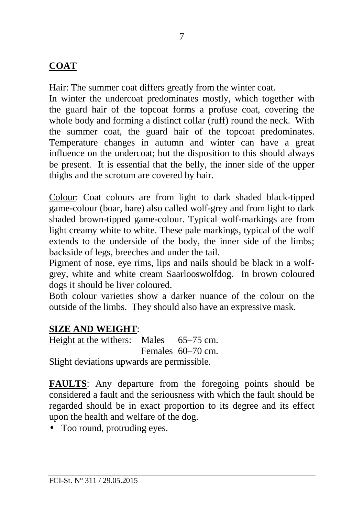## **COAT**

Hair: The summer coat differs greatly from the winter coat.

In winter the undercoat predominates mostly, which together with the guard hair of the topcoat forms a profuse coat, covering the whole body and forming a distinct collar (ruff) round the neck. With the summer coat, the guard hair of the topcoat predominates. Temperature changes in autumn and winter can have a great influence on the undercoat; but the disposition to this should always be present. It is essential that the belly, the inner side of the upper thighs and the scrotum are covered by hair.

Colour: Coat colours are from light to dark shaded black-tipped game-colour (boar, hare) also called wolf-grey and from light to dark shaded brown-tipped game-colour. Typical wolf-markings are from light creamy white to white. These pale markings, typical of the wolf extends to the underside of the body, the inner side of the limbs; backside of legs, breeches and under the tail.

Pigment of nose, eye rims, lips and nails should be black in a wolfgrey, white and white cream Saarlooswolfdog. In brown coloured dogs it should be liver coloured.

Both colour varieties show a darker nuance of the colour on the outside of the limbs. They should also have an expressive mask.

## **SIZE AND WEIGHT**:

Height at the withers: Males 65–75 cm. Females 60–70 cm. Slight deviations upwards are permissible.

**FAULTS**: Any departure from the foregoing points should be considered a fault and the seriousness with which the fault should be regarded should be in exact proportion to its degree and its effect upon the health and welfare of the dog.

• Too round, protruding eyes.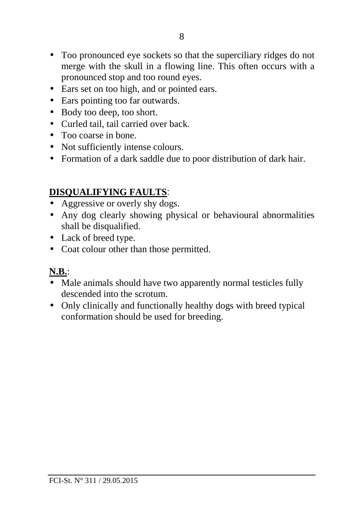- Too pronounced eye sockets so that the superciliary ridges do not merge with the skull in a flowing line. This often occurs with a pronounced stop and too round eyes.
- Ears set on too high, and or pointed ears.
- Ears pointing too far outwards.
- Body too deep, too short.
- Curled tail, tail carried over back.
- Too coarse in bone.
- Not sufficiently intense colours.
- Formation of a dark saddle due to poor distribution of dark hair.

#### **DISQUALIFYING FAULTS**:

- Aggressive or overly shy dogs.
- Any dog clearly showing physical or behavioural abnormalities shall be disqualified.
- Lack of breed type.
- Coat colour other than those permitted.

## **N.B.**:

- Male animals should have two apparently normal testicles fully descended into the scrotum.
- Only clinically and functionally healthy dogs with breed typical conformation should be used for breeding.